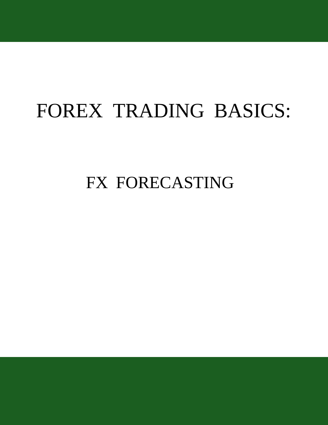# FOREX TRADING BASICS:

# FX FORECASTING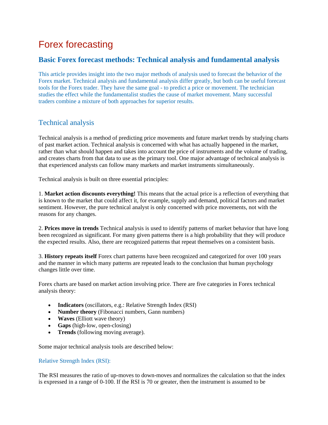# Forex forecasting

## **Basic Forex forecast methods: Technical analysis and fundamental analysis**

This article provides insight into the two major methods of analysis used to forecast the behavior of the Forex market. Technical analysis and fundamental analysis differ greatly, but both can be useful forecast tools for the Forex trader. They have the same goal - to predict a price or movement. The technician studies the effect while the fundamentalist studies the cause of market movement. Many successful traders combine a mixture of both approaches for superior results.

## Technical analysis

Technical analysis is a method of predicting price movements and future market trends by studying charts of past market action. Technical analysis is concerned with what has actually happened in the market, rather than what should happen and takes into account the price of instruments and the volume of trading, and creates charts from that data to use as the primary tool. One major advantage of technical analysis is that experienced analysts can follow many markets and market instruments simultaneously.

Technical analysis is built on three essential principles:

1. **Market action discounts everything!** This means that the actual price is a reflection of everything that is known to the market that could affect it, for example, supply and demand, political factors and market sentiment. However, the pure technical analyst is only concerned with price movements, not with the reasons for any changes.

2. **Prices move in trends** Technical analysis is used to identify patterns of market behavior that have long been recognized as significant. For many given patterns there is a high probability that they will produce the expected results. Also, there are recognized patterns that repeat themselves on a consistent basis.

3. **History repeats itself** Forex chart patterns have been recognized and categorized for over 100 years and the manner in which many patterns are repeated leads to the conclusion that human psychology changes little over time.

Forex charts are based on market action involving price. There are five categories in Forex technical analysis theory:

- **Indicators** (oscillators, e.g.: Relative Strength Index (RSI)
- **Number theory** (Fibonacci numbers, Gann numbers)
- **Waves** (Elliott wave theory)
- **Gaps** (high-low, open-closing)
- **Trends** (following moving average).

Some major technical analysis tools are described below:

#### Relative Strength Index (RSI):

The RSI measures the ratio of up-moves to down-moves and normalizes the calculation so that the index is expressed in a range of 0-100. If the RSI is 70 or greater, then the instrument is assumed to be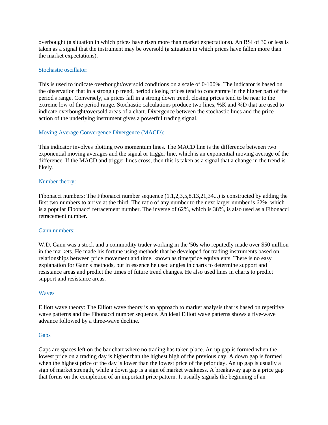overbought (a situation in which prices have risen more than market expectations). An RSI of 30 or less is taken as a signal that the instrument may be oversold (a situation in which prices have fallen more than the market expectations).

#### Stochastic oscillator:

This is used to indicate overbought/oversold conditions on a scale of 0-100%. The indicator is based on the observation that in a strong up trend, period closing prices tend to concentrate in the higher part of the period's range. Conversely, as prices fall in a strong down trend, closing prices tend to be near to the extreme low of the period range. Stochastic calculations produce two lines, %K and %D that are used to indicate overbought/oversold areas of a chart. Divergence between the stochastic lines and the price action of the underlying instrument gives a powerful trading signal.

#### Moving Average Convergence Divergence (MACD):

This indicator involves plotting two momentum lines. The MACD line is the difference between two exponential moving averages and the signal or trigger line, which is an exponential moving average of the difference. If the MACD and trigger lines cross, then this is taken as a signal that a change in the trend is likely.

#### Number theory:

Fibonacci numbers: The Fibonacci number sequence (1,1,2,3,5,8,13,21,34...) is constructed by adding the first two numbers to arrive at the third. The ratio of any number to the next larger number is 62%, which is a popular Fibonacci retracement number. The inverse of 62%, which is 38%, is also used as a Fibonacci retracement number.

#### Gann numbers:

W.D. Gann was a stock and a commodity trader working in the '50s who reputedly made over \$50 million in the markets. He made his fortune using methods that he developed for trading instruments based on relationships between price movement and time, known as time/price equivalents. There is no easy explanation for Gann's methods, but in essence he used angles in charts to determine support and resistance areas and predict the times of future trend changes. He also used lines in charts to predict support and resistance areas.

#### Waves

Elliott wave theory: The Elliott wave theory is an approach to market analysis that is based on repetitive wave patterns and the Fibonacci number sequence. An ideal Elliott wave patterns shows a five-wave advance followed by a three-wave decline.

#### Gaps

Gaps are spaces left on the bar chart where no trading has taken place. An up gap is formed when the lowest price on a trading day is higher than the highest high of the previous day. A down gap is formed when the highest price of the day is lower than the lowest price of the prior day. An up gap is usually a sign of market strength, while a down gap is a sign of market weakness. A breakaway gap is a price gap that forms on the completion of an important price pattern. It usually signals the beginning of an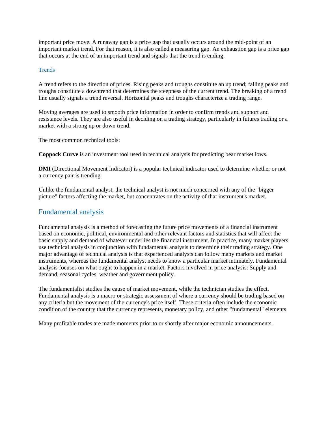important price move. A runaway gap is a price gap that usually occurs around the mid-point of an important market trend. For that reason, it is also called a measuring gap. An exhaustion gap is a price gap that occurs at the end of an important trend and signals that the trend is ending.

#### **Trends**

A trend refers to the direction of prices. Rising peaks and troughs constitute an up trend; falling peaks and troughs constitute a downtrend that determines the steepness of the current trend. The breaking of a trend line usually signals a trend reversal. Horizontal peaks and troughs characterize a trading range.

Moving averages are used to smooth price information in order to confirm trends and support and resistance levels. They are also useful in deciding on a trading strategy, particularly in futures trading or a market with a strong up or down trend.

The most common technical tools:

**Coppock Curve** is an investment tool used in technical analysis for predicting bear market lows.

**DMI** (Directional Movement Indicator) is a popular technical indicator used to determine whether or not a currency pair is trending.

Unlike the fundamental analyst, the technical analyst is not much concerned with any of the "bigger picture" factors affecting the market, but concentrates on the activity of that instrument's market.

## Fundamental analysis

Fundamental analysis is a method of forecasting the future price movements of a financial instrument based on economic, political, environmental and other relevant factors and statistics that will affect the basic supply and demand of whatever underlies the financial instrument. In practice, many market players use technical analysis in conjunction with fundamental analysis to determine their trading strategy. One major advantage of technical analysis is that experienced analysts can follow many markets and market instruments, whereas the fundamental analyst needs to know a particular market intimately. Fundamental analysis focuses on what ought to happen in a market. Factors involved in price analysis: Supply and demand, seasonal cycles, weather and government policy.

The fundamentalist studies the cause of market movement, while the technician studies the effect. Fundamental analysis is a macro or strategic assessment of where a currency should be trading based on any criteria but the movement of the currency's price itself. These criteria often include the economic condition of the country that the currency represents, monetary policy, and other "fundamental" elements.

Many profitable trades are made moments prior to or shortly after major economic announcements.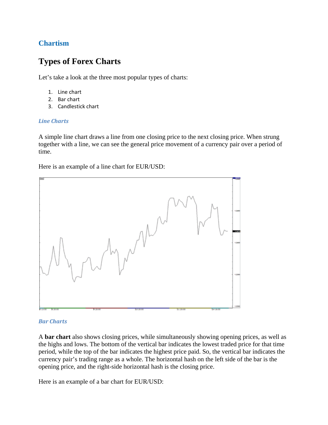## **Chartism**

## **Types of Forex Charts**

Let's take a look at the three most popular types of charts:

- 1. Line chart
- 2. Bar chart
- 3. Candlestick chart

#### *Line Charts*

A simple line chart draws a line from one closing price to the next closing price. When strung together with a line, we can see the general price movement of a currency pair over a period of time.

Here is an example of a line chart for EUR/USD:



#### *Bar Charts*

A **bar chart** also shows closing prices, while simultaneously showing opening prices, as well as the highs and lows. The bottom of the vertical bar indicates the lowest traded price for that time period, while the top of the bar indicates the highest price paid. So, the vertical bar indicates the currency pair's trading range as a whole. The horizontal hash on the left side of the bar is the opening price, and the right-side horizontal hash is the closing price.

Here is an example of a bar chart for EUR/USD: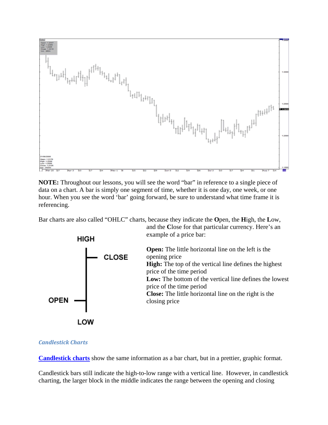

**NOTE:** Throughout our lessons, you will see the word "bar" in reference to a single piece of data on a chart. A bar is simply one segment of time, whether it is one day, one week, or one hour. When you see the word 'bar' going forward, be sure to understand what time frame it is referencing.

Bar charts are also called "OHLC" charts, because they indicate the **O**pen, the **H**igh, the **L**ow,



#### *Candlestick Charts*

**Candlestick charts** show the same information as a bar chart, but in a prettier, graphic format.

Candlestick bars still indicate the high-to-low range with a vertical line. However, in candlestick charting, the larger block in the middle indicates the range between the opening and closing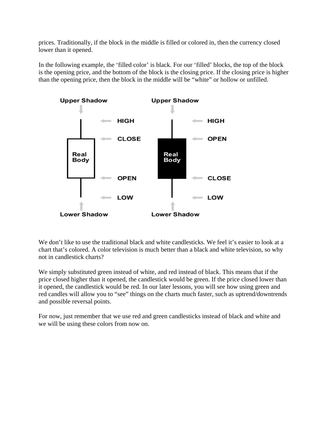prices. Traditionally, if the block in the middle is filled or colored in, then the currency closed lower than it opened.

In the following example, the 'filled color' is black. For our 'filled' blocks, the top of the block is the opening price, and the bottom of the block is the closing price. If the closing price is higher than the opening price, then the block in the middle will be "white" or hollow or unfilled.



We don't like to use the traditional black and white candlesticks. We feel it's easier to look at a chart that's colored. A color television is much better than a black and white television, so why not in candlestick charts?

We simply substituted green instead of white, and red instead of black. This means that if the price closed higher than it opened, the candlestick would be green. If the price closed lower than it opened, the candlestick would be red. In our later lessons, you will see how using green and red candles will allow you to "see" things on the charts much faster, such as uptrend/downtrends and possible reversal points.

For now, just remember that we use red and green candlesticks instead of black and white and we will be using these colors from now on.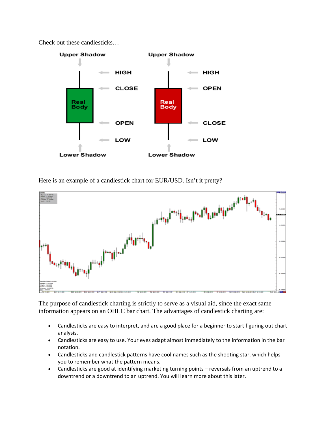Check out these candlesticks…



Here is an example of a candlestick chart for EUR/USD. Isn't it pretty?



The purpose of candlestick charting is strictly to serve as a visual aid, since the exact same information appears on an OHLC bar chart. The advantages of candlestick charting are:

- Candlesticks are easy to interpret, and are a good place for a beginner to start figuring out chart analysis.
- Candlesticks are easy to use. Your eyes adapt almost immediately to the information in the bar notation.
- Candlesticks and candlestick patterns have cool names such as the shooting star, which helps you to remember what the pattern means.
- Candlesticks are good at identifying marketing turning points reversals from an uptrend to a downtrend or a downtrend to an uptrend. You will learn more about this later.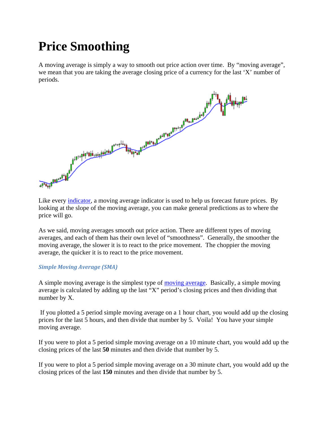# **Price Smoothing**

A moving average is simply a way to smooth out price action over time. By "moving average", we mean that you are taking the average closing price of a currency for the last 'X' number of



Like every indicator, a moving average indicator is used to help us forecast future prices. By looking at the slope of the moving average, you can make general predictions as to where the price will go.

As we said, moving averages smooth out price action. There are different types of moving averages, and each of them has their own level of "smoothness". Generally, the smoother the moving average, the slower it is to react to the price movement. The choppier the moving average, the quicker it is to react to the price movement.

## *Simple Moving Average (SMA)*

A simple moving average is the simplest type of moving average. Basically, a simple moving average is calculated by adding up the last "X" period's closing prices and then dividing that number by X.

 If you plotted a 5 period simple moving average on a 1 hour chart, you would add up the closing prices for the last 5 hours, and then divide that number by 5. Voila! You have your simple moving average.

If you were to plot a 5 period simple moving average on a 10 minute chart, you would add up the closing prices of the last **50** minutes and then divide that number by 5.

If you were to plot a 5 period simple moving average on a 30 minute chart, you would add up the closing prices of the last **150** minutes and then divide that number by 5.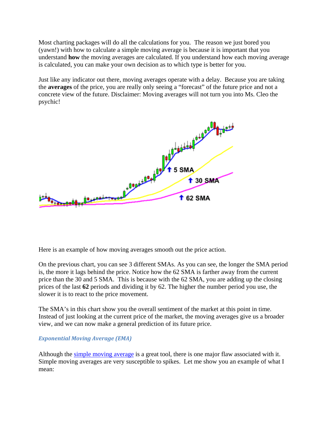Most charting packages will do all the calculations for you. The reason we just bored you (yawn!) with how to calculate a simple moving average is because it is important that you understand **how** the moving averages are calculated. If you understand how each moving average is calculated, you can make your own decision as to which type is better for you.

Just like any indicator out there, moving averages operate with a delay. Because you are taking the **averages** of the price, you are really only seeing a "forecast" of the future price and not a concrete view of the future. Disclaimer: Moving averages will not turn you into Ms. Cleo the psychic!



Here is an example of how moving averages smooth out the price action.

On the previous chart, you can see 3 different SMAs. As you can see, the longer the SMA period is, the more it lags behind the price. Notice how the 62 SMA is farther away from the current price than the 30 and 5 SMA. This is because with the 62 SMA, you are adding up the closing prices of the last **62** periods and dividing it by 62. The higher the number period you use, the slower it is to react to the price movement.

The SMA's in this chart show you the overall sentiment of the market at this point in time. Instead of just looking at the current price of the market, the moving averages give us a broader view, and we can now make a general prediction of its future price.

## *Exponential Moving Average (EMA)*

Although the simple moving average is a great tool, there is one major flaw associated with it. Simple moving averages are very susceptible to spikes. Let me show you an example of what I mean: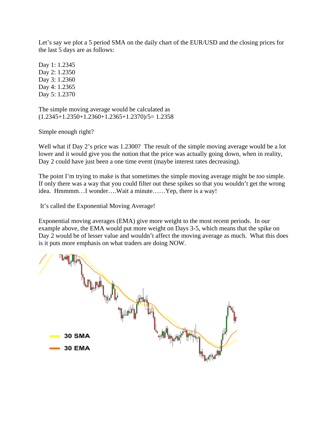Let's say we plot a 5 period SMA on the daily chart of the EUR/USD and the closing prices for the last 5 days are as follows:

Day 1: 1.2345 Day 2: 1.2350 Day 3: 1.2360 Day 4: 1.2365 Day 5: 1.2370

The simple moving average would be calculated as  $(1.2345+1.2350+1.2360+1.2365+1.2370)/5=1.2358$ 

Simple enough right?

Well what if Day 2's price was 1.2300? The result of the simple moving average would be a lot lower and it would give you the notion that the price was actually going down, when in reality, Day 2 could have just been a one time event (maybe interest rates decreasing).

The point I'm trying to make is that sometimes the simple moving average might be *too* simple. If only there was a way that you could filter out these spikes so that you wouldn't get the wrong idea. Hmmmm…I wonder….Wait a minute……Yep, there is a way!

It's called the Exponential Moving Average!

Exponential moving averages (EMA) give more weight to the most recent periods. In our example above, the EMA would put more weight on Days 3-5, which means that the spike on Day 2 would be of lesser value and wouldn't affect the moving average as much. What this does is it puts more emphasis on what traders are doing NOW.

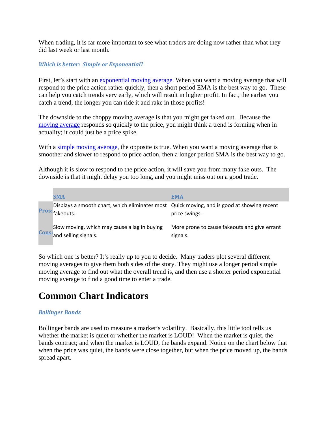When trading, it is far more important to see what traders are doing now rather than what they did last week or last month.

#### *Which is better: Simple or Exponential?*

First, let's start with an exponential moving average. When you want a moving average that will respond to the price action rather quickly, then a short period EMA is the best way to go. These can help you catch trends very early, which will result in higher profit. In fact, the earlier you catch a trend, the longer you can ride it and rake in those profits!

The downside to the choppy moving average is that you might get faked out. Because the moving average responds so quickly to the price, you might think a trend is forming when in actuality; it could just be a price spike.

With a simple moving average, the opposite is true. When you want a moving average that is smoother and slower to respond to price action, then a longer period SMA is the best way to go.

Although it is slow to respond to the price action, it will save you from many fake outs. The downside is that it might delay you too long, and you might miss out on a good trade.

| <b>SMA</b>                                                                                              | <b>EMA</b>                                               |
|---------------------------------------------------------------------------------------------------------|----------------------------------------------------------|
| Displays a smooth chart, which eliminates most Quick moving, and is good at showing recent<br>fakeouts. | price swings.                                            |
| Slow moving, which may cause a lag in buying<br>Cons: and selling signals.                              | More prone to cause fakeouts and give errant<br>signals. |

So which one is better? It's really up to you to decide. Many traders plot several different moving averages to give them both sides of the story. They might use a longer period simple moving average to find out what the overall trend is, and then use a shorter period exponential moving average to find a good time to enter a trade.

# **Common Chart Indicators**

## *Bollinger Bands*

Bollinger bands are used to measure a market's volatility. Basically, this little tool tells us whether the market is quiet or whether the market is LOUD! When the market is quiet, the bands contract; and when the market is LOUD, the bands expand. Notice on the chart below that when the price was quiet, the bands were close together, but when the price moved up, the bands spread apart.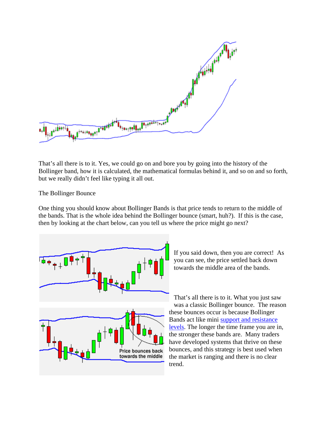

That's all there is to it. Yes, we could go on and bore you by going into the history of the Bollinger band, how it is calculated, the mathematical formulas behind it, and so on and so forth, but we really didn't feel like typing it all out.

The Bollinger Bounce

One thing you should know about Bollinger Bands is that price tends to return to the middle of the bands. That is the whole idea behind the Bollinger bounce (smart, huh?). If this is the case, then by looking at the chart below, can you tell us where the price might go next?



If you said down, then you are correct! As you can see, the price settled back down towards the middle area of the bands.

That's all there is to it. What you just saw was a classic Bollinger bounce. The reason these bounces occur is because Bollinger Bands act like mini support and resistance levels. The longer the time frame you are in, the stronger these bands are. Many traders have developed systems that thrive on these bounces, and this strategy is best used when the market is ranging and there is no clear trend.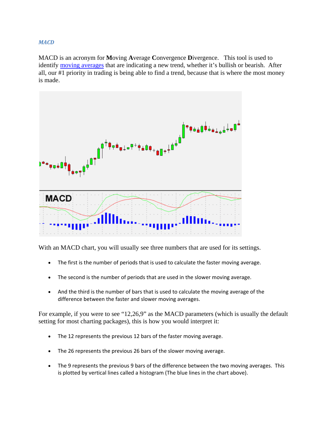#### *MACD*

MACD is an acronym for **M**oving **A**verage **C**onvergence **D**ivergence. This tool is used to identify moving averages that are indicating a new trend, whether it's bullish or bearish. After all, our #1 priority in trading is being able to find a trend, because that is where the most money is made.



With an MACD chart, you will usually see three numbers that are used for its settings.

- The first is the number of periods that is used to calculate the faster moving average.
- The second is the number of periods that are used in the slower moving average.
- And the third is the number of bars that is used to calculate the moving average of the difference between the faster and slower moving averages.

For example, if you were to see "12,26,9" as the MACD parameters (which is usually the default setting for most charting packages), this is how you would interpret it:

- The 12 represents the previous 12 bars of the faster moving average.
- The 26 represents the previous 26 bars of the slower moving average.
- The 9 represents the previous 9 bars of the difference between the two moving averages. This is plotted by vertical lines called a histogram (The blue lines in the chart above).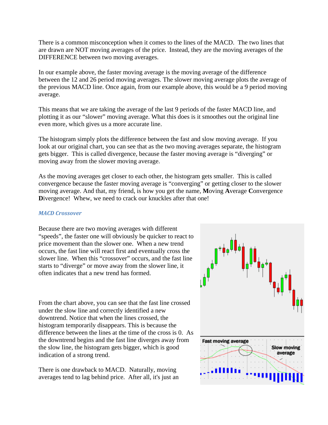There is a common misconception when it comes to the lines of the MACD. The two lines that are drawn are NOT moving averages of the price. Instead, they are the moving averages of the DIFFERENCE between two moving averages.

In our example above, the faster moving average is the moving average of the difference between the 12 and 26 period moving averages. The slower moving average plots the average of the previous MACD line. Once again, from our example above, this would be a 9 period moving average.

This means that we are taking the average of the last 9 periods of the faster MACD line, and plotting it as our "slower" moving average. What this does is it smoothes out the original line even more, which gives us a more accurate line.

The histogram simply plots the difference between the fast and slow moving average. If you look at our original chart, you can see that as the two moving averages separate, the histogram gets bigger. This is called divergence, because the faster moving average is "diverging" or moving away from the slower moving average.

As the moving averages get closer to each other, the histogram gets smaller. This is called convergence because the faster moving average is "converging" or getting closer to the slower moving average. And that, my friend, is how you get the name, **M**oving **A**verage **C**onvergence **D**ivergence! Whew, we need to crack our knuckles after that one!

#### *MACD Crossover*

Because there are two moving averages with different "speeds", the faster one will obviously be quicker to react to price movement than the slower one. When a new trend occurs, the fast line will react first and eventually cross the slower line. When this "crossover" occurs, and the fast line starts to "diverge" or move away from the slower line, it often indicates that a new trend has formed.

From the chart above, you can see that the fast line crossed under the slow line and correctly identified a new downtrend. Notice that when the lines crossed, the histogram temporarily disappears. This is because the difference between the lines at the time of the cross is 0. As the downtrend begins and the fast line diverges away from the slow line, the histogram gets bigger, which is good indication of a strong trend.

There is one drawback to MACD. Naturally, moving averages tend to lag behind price. After all, it's just an

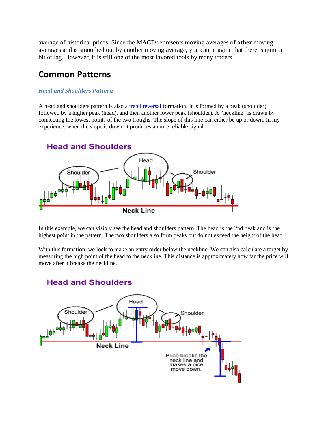average of historical prices. Since the MACD represents moving averages of **other** moving averages and is smoothed out by another moving average, you can imagine that there is quite a bit of lag. However, it is still one of the most favored tools by many traders.

## **Common Patterns**

#### *Head and Shoulders Pattern*

A head and shoulders pattern is also a trend reversal formation. It is formed by a peak (shoulder), followed by a higher peak (head), and then another lower peak (shoulder). A "neckline" is drawn by connecting the lowest points of the two troughs. The slope of this line can either be up or down. In my experience, when the slope is down, it produces a more reliable signal.



In this example, we can visibly see the head and shoulders pattern. The head is the 2nd peak and is the highest point in the pattern. The two shoulders also form peaks but do not exceed the height of the head.

With this formation, we look to make an entry order below the neckline. We can also calculate a target by measuring the high point of the head to the neckline. This distance is approximately how far the price will move after it breaks the neckline.

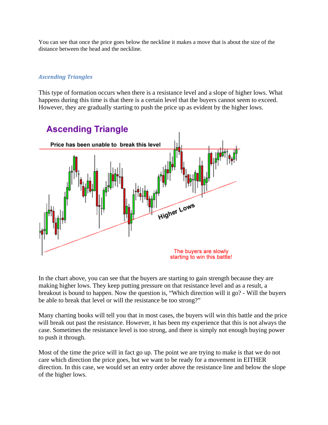You can see that once the price goes below the neckline it makes a move that is about the size of the distance between the head and the neckline.

#### *Ascending Triangles*

This type of formation occurs when there is a resistance level and a slope of higher lows. What happens during this time is that there is a certain level that the buyers cannot seem to exceed. However, they are gradually starting to push the price up as evident by the higher lows.



In the chart above, you can see that the buyers are starting to gain strength because they are making higher lows. They keep putting pressure on that resistance level and as a result, a breakout is bound to happen. Now the question is, "Which direction will it go? - Will the buyers be able to break that level or will the resistance be too strong?"

Many charting books will tell you that in most cases, the buyers will win this battle and the price will break out past the resistance. However, it has been my experience that this is not always the case. Sometimes the resistance level is too strong, and there is simply not enough buying power to push it through.

Most of the time the price will in fact go up. The point we are trying to make is that we do not care which direction the price goes, but we want to be ready for a movement in EITHER direction. In this case, we would set an entry order above the resistance line and below the slope of the higher lows.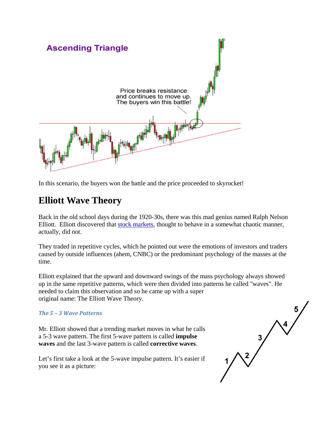

In this scenario, the buyers won the battle and the price proceeded to skyrocket!

## **Elliott Wave Theory**

Back in the old school days during the 1920-30s, there was this mad genius named Ralph Nelson Elliott. Elliott discovered that stock markets, thought to behave in a somewhat chaotic manner, actually, did not.

They traded in repetitive cycles, which he pointed out were the emotions of investors and traders caused by outside influences (ahem, CNBC) or the predominant psychology of the masses at the time.

Elliott explained that the upward and downward swings of the mass psychology always showed up in the same repetitive patterns, which were then divided into patterns he called "waves". He needed to claim this observation and so he came up with a super original name: The Elliott Wave Theory.

#### *The 5 – 3 Wave Patterns*

Mr. Elliott showed that a trending market moves in what he calls a 5-3 wave pattern. The first 5-wave pattern is called **impulse waves** and the last 3-wave pattern is called **corrective waves**.

Let's first take a look at the 5-wave impulse pattern. It's easier if you see it as a picture:

5. 3